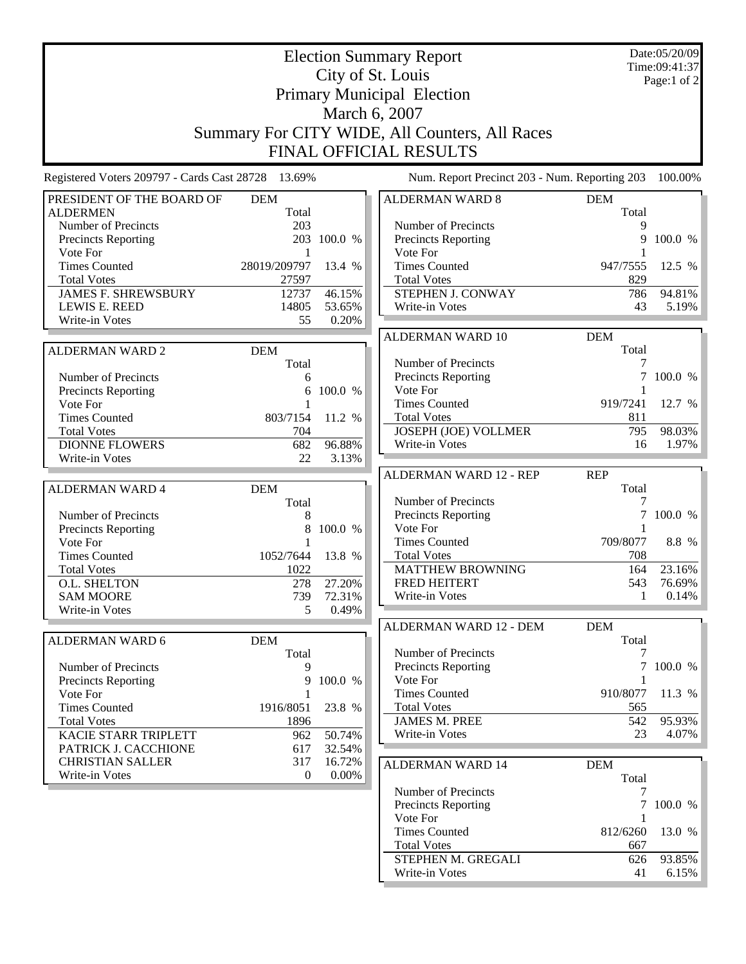|                                                    | Date:05/20/09<br>Time:09:41:37 |             |                                               |            |                 |  |  |  |  |
|----------------------------------------------------|--------------------------------|-------------|-----------------------------------------------|------------|-----------------|--|--|--|--|
|                                                    |                                | Page:1 of 2 |                                               |            |                 |  |  |  |  |
|                                                    |                                |             |                                               |            |                 |  |  |  |  |
| <b>Primary Municipal Election</b><br>March 6, 2007 |                                |             |                                               |            |                 |  |  |  |  |
|                                                    |                                |             |                                               |            |                 |  |  |  |  |
| Summary For CITY WIDE, All Counters, All Races     |                                |             |                                               |            |                 |  |  |  |  |
|                                                    |                                |             | <b>FINAL OFFICIAL RESULTS</b>                 |            |                 |  |  |  |  |
| Registered Voters 209797 - Cards Cast 28728 13.69% |                                |             | Num. Report Precinct 203 - Num. Reporting 203 |            | 100.00%         |  |  |  |  |
| PRESIDENT OF THE BOARD OF                          | <b>DEM</b>                     |             | <b>ALDERMAN WARD 8</b>                        | <b>DEM</b> |                 |  |  |  |  |
| <b>ALDERMEN</b>                                    | Total                          |             |                                               | Total      |                 |  |  |  |  |
| Number of Precincts                                | 203                            |             | Number of Precincts                           | 9          |                 |  |  |  |  |
| Precincts Reporting                                |                                | 203 100.0 % | Precincts Reporting                           | 9          | 100.0 %         |  |  |  |  |
| Vote For<br><b>Times Counted</b>                   | 1<br>28019/209797              | 13.4 %      | Vote For<br><b>Times Counted</b>              | 947/7555   | 12.5 %          |  |  |  |  |
| <b>Total Votes</b>                                 | 27597                          |             | <b>Total Votes</b>                            | 829        |                 |  |  |  |  |
| <b>JAMES F. SHREWSBURY</b>                         | 12737                          | 46.15%      | STEPHEN J. CONWAY                             | 786        | 94.81%          |  |  |  |  |
| LEWIS E. REED                                      | 14805                          | 53.65%      | Write-in Votes                                | 43         | 5.19%           |  |  |  |  |
| Write-in Votes                                     | 55                             | 0.20%       |                                               |            |                 |  |  |  |  |
|                                                    |                                |             | ALDERMAN WARD 10                              | <b>DEM</b> |                 |  |  |  |  |
| <b>ALDERMAN WARD 2</b>                             | <b>DEM</b>                     |             |                                               | Total      |                 |  |  |  |  |
|                                                    | Total                          |             | Number of Precincts                           | 7          |                 |  |  |  |  |
| Number of Precincts                                | 6                              |             | Precincts Reporting                           | 7          | 100.0 %         |  |  |  |  |
| Precincts Reporting                                | 6                              | 100.0 %     | Vote For                                      |            |                 |  |  |  |  |
| Vote For                                           |                                |             | <b>Times Counted</b>                          | 919/7241   | 12.7 %          |  |  |  |  |
| <b>Times Counted</b>                               | 803/7154                       | 11.2 %      | <b>Total Votes</b>                            | 811<br>795 |                 |  |  |  |  |
| <b>Total Votes</b><br><b>DIONNE FLOWERS</b>        | 704<br>682                     | 96.88%      | <b>JOSEPH (JOE) VOLLMER</b><br>Write-in Votes | 16         | 98.03%<br>1.97% |  |  |  |  |
|                                                    | 22                             |             |                                               |            |                 |  |  |  |  |
|                                                    |                                |             |                                               |            |                 |  |  |  |  |
| Write-in Votes                                     |                                | 3.13%       |                                               |            |                 |  |  |  |  |
|                                                    |                                |             | <b>ALDERMAN WARD 12 - REP</b>                 | <b>REP</b> |                 |  |  |  |  |
| <b>ALDERMAN WARD 4</b>                             | <b>DEM</b>                     |             | Number of Precincts                           | Total<br>7 |                 |  |  |  |  |
| Number of Precincts                                | Total<br>8                     |             | Precincts Reporting                           |            | 100.0 %         |  |  |  |  |
| <b>Precincts Reporting</b>                         | 8                              | 100.0 %     | Vote For                                      |            |                 |  |  |  |  |
| Vote For                                           |                                |             | <b>Times Counted</b>                          | 709/8077   | 8.8 %           |  |  |  |  |
| <b>Times Counted</b>                               | 1052/7644                      | 13.8 %      | <b>Total Votes</b>                            | 708        |                 |  |  |  |  |
| <b>Total Votes</b>                                 | 1022                           |             | <b>MATTHEW BROWNING</b>                       | 164        | 23.16%          |  |  |  |  |
| O.L. SHELTON                                       | 278                            | 27.20%      | <b>FRED HEITERT</b>                           | 543        | 76.69%          |  |  |  |  |
| <b>SAM MOORE</b>                                   | 739                            | 72.31%      | Write-in Votes                                | 1          | $0.14\%$        |  |  |  |  |
| <b>Write-in Votes</b>                              | 5                              | 0.49%       |                                               |            |                 |  |  |  |  |
|                                                    |                                |             | ALDERMAN WARD 12 - DEM                        | <b>DEM</b> |                 |  |  |  |  |
| ALDERMAN WARD 6                                    | <b>DEM</b>                     |             |                                               | Total      |                 |  |  |  |  |
|                                                    | Total                          |             | Number of Precincts                           | 7          |                 |  |  |  |  |
| Number of Precincts                                | 9<br>9                         |             | Precincts Reporting                           | 7          | 100.0 %         |  |  |  |  |
| <b>Precincts Reporting</b><br>Vote For             |                                | 100.0 %     | Vote For<br><b>Times Counted</b>              | 910/8077   | 11.3 %          |  |  |  |  |
| <b>Times Counted</b>                               | 1916/8051                      | 23.8 %      | <b>Total Votes</b>                            | 565        |                 |  |  |  |  |
| <b>Total Votes</b>                                 | 1896                           |             | <b>JAMES M. PREE</b>                          | 542        | 95.93%          |  |  |  |  |
| KACIE STARR TRIPLETT                               | 962                            | 50.74%      | Write-in Votes                                | 23         |                 |  |  |  |  |
| PATRICK J. CACCHIONE                               | 617                            | 32.54%      |                                               |            | 4.07%           |  |  |  |  |
| <b>CHRISTIAN SALLER</b>                            | 317                            | 16.72%      | ALDERMAN WARD 14                              | <b>DEM</b> |                 |  |  |  |  |
| Write-in Votes                                     | $\theta$                       | $0.00\%$    |                                               | Total      |                 |  |  |  |  |
|                                                    |                                |             | Number of Precincts                           | 7          |                 |  |  |  |  |
|                                                    |                                |             | Precincts Reporting                           | 7          | 100.0 %         |  |  |  |  |
|                                                    |                                |             | Vote For                                      | 1          |                 |  |  |  |  |
|                                                    |                                |             | <b>Times Counted</b>                          | 812/6260   | 13.0 %          |  |  |  |  |
|                                                    |                                |             | <b>Total Votes</b><br>STEPHEN M. GREGALI      | 667<br>626 | 93.85%          |  |  |  |  |